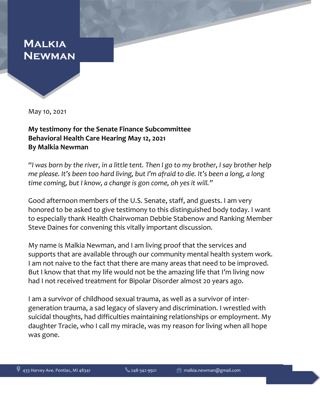## **Malkia Newman**

May 10, 2021

**My testimony for the Senate Finance Subcommittee Behavioral Health Care Hearing May 12, 2021 By Malkia Newman**

*"I was born by the river, in a little tent. Then I go to my brother, I say brother help me please. It's been too hard living, but I'm afraid to die. It's been a long, a long time coming, but I know, a change is gon come, oh yes it will."*

Good afternoon members of the U.S. Senate, staff, and guests. I am very honored to be asked to give testimony to this distinguished body today. I want to especially thank Health Chairwoman Debbie Stabenow and Ranking Member Steve Daines for convening this vitally important discussion.

My name is Malkia Newman, and I am living proof that the services and supports that are available through our community mental health system work. I am not naive to the fact that there are many areas that need to be improved. But I know that that my life would not be the amazing life that I'm living now had I not received treatment for Bipolar Disorder almost 20 years ago.

I am a survivor of childhood sexual trauma, as well as a survivor of intergeneration trauma, a sad legacy of slavery and discrimination. I wrestled with suicidal thoughts, had difficulties maintaining relationships or employment. My daughter Tracie, who I call my miracle, was my reason for living when all hope was gone.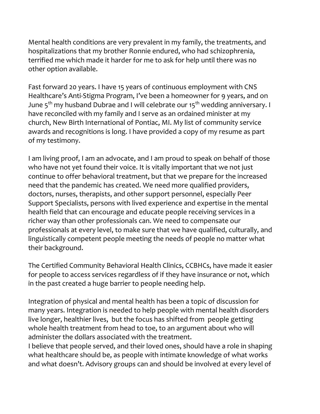Mental health conditions are very prevalent in my family, the treatments, and hospitalizations that my brother Ronnie endured, who had schizophrenia, terrified me which made it harder for me to ask for help until there was no other option available.

Fast forward 20 years. I have 15 years of continuous employment with CNS Healthcare's Anti-Stigma Program, I've been a homeowner for 9 years, and on June 5<sup>th</sup> my husband Dubrae and I will celebrate our 15<sup>th</sup> wedding anniversary. I have reconciled with my family and I serve as an ordained minister at my church, New Birth International of Pontiac, MI. My list of community service awards and recognitions is long. I have provided a copy of my resume as part of my testimony.

I am living proof, I am an advocate, and I am proud to speak on behalf of those who have not yet found their voice. It is vitally important that we not just continue to offer behavioral treatment, but that we prepare for the increased need that the pandemic has created. We need more qualified providers, doctors, nurses, therapists, and other support personnel, especially Peer Support Specialists, persons with lived experience and expertise in the mental health field that can encourage and educate people receiving services in a richer way than other professionals can. We need to compensate our professionals at every level, to make sure that we have qualified, culturally, and linguistically competent people meeting the needs of people no matter what their background.

The Certified Community Behavioral Health Clinics, CCBHCs, have made it easier for people to access services regardless of if they have insurance or not, which in the past created a huge barrier to people needing help.

Integration of physical and mental health has been a topic of discussion for many years. Integration is needed to help people with mental health disorders live longer, healthier lives, but the focus has shifted from people getting whole health treatment from head to toe, to an argument about who will administer the dollars associated with the treatment.

I believe that people served, and their loved ones, should have a role in shaping what healthcare should be, as people with intimate knowledge of what works and what doesn't. Advisory groups can and should be involved at every level of